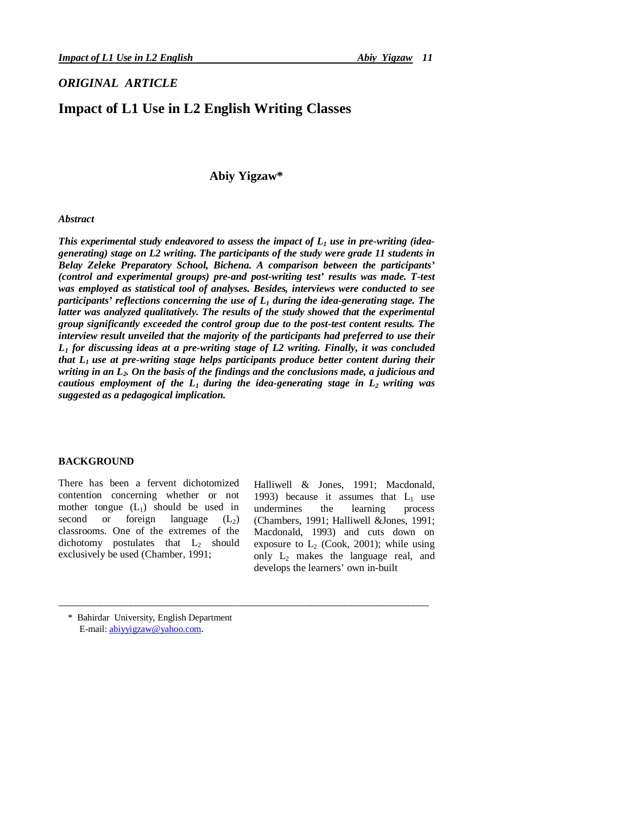## *ORIGINAL ARTICLE*

# **Impact of L1 Use in L2 English Writing Classes**

## **Abiy Yigzaw\***

## *Abstract*

*This experimental study endeavored to assess the impact of L<sup>1</sup> use in pre-writing (ideagenerating) stage on L2 writing. The participants of the study were grade 11 students in Belay Zeleke Preparatory School, Bichena. A comparison between the participants' (control and experimental groups) pre-and post-writing test' results was made. T-test was employed as statistical tool of analyses. Besides, interviews were conducted to see participants' reflections concerning the use of L<sup>1</sup> during the idea-generating stage. The latter was analyzed qualitatively. The results of the study showed that the experimental group significantly exceeded the control group due to the post-test content results. The interview result unveiled that the majority of the participants had preferred to use their L<sup>1</sup> for discussing ideas at a pre-writing stage of L2 writing. Finally, it was concluded that L1 use at pre-writing stage helps participants produce better content during their writing in an L2. On the basis of the findings and the conclusions made, a judicious and cautious employment of the*  $L_1$  *during the idea-generating stage in*  $L_2$  *writing was suggested as a pedagogical implication.*

\_\_\_\_\_\_\_\_\_\_\_\_\_\_\_\_\_\_\_\_\_\_\_\_\_\_\_\_\_\_\_\_\_\_\_\_\_\_\_\_\_\_\_\_\_\_\_\_\_\_\_\_\_\_\_\_\_\_\_\_\_\_\_\_\_\_\_\_\_\_\_\_

### **BACKGROUND**

There has been a fervent dichotomized contention concerning whether or not mother tongue  $(L_1)$  should be used in second or foreign language  $(L_2)$ classrooms. One of the extremes of the dichotomy postulates that  $L_2$  should exclusively be used (Chamber, 1991;

Halliwell & Jones, 1991; Macdonald, 1993) because it assumes that  $L_1$  use undermines the learning process (Chambers, 1991; Halliwell &Jones, 1991; Macdonald, 1993) and cuts down on exposure to  $L_2$  (Cook, 2001); while using only  $L_2$  makes the language real, and develops the learners' own in-built

 <sup>\*</sup> Bahirdar University, English Department E-mail: abiyyigzaw@yahoo.com.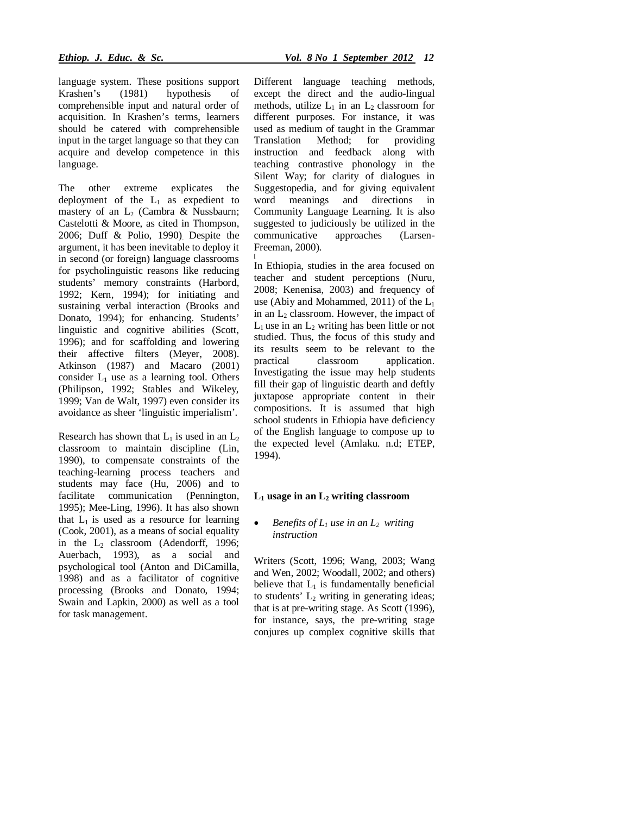language system. These positions support Krashen's (1981) hypothesis of comprehensible input and natural order of acquisition. In Krashen's terms, learners should be catered with comprehensible input in the target language so that they can acquire and develop competence in this language.

The other extreme explicates the deployment of the  $L_1$  as expedient to mastery of an  $L_2$  (Cambra & Nussbaurn; Castelotti & Moore, as cited in Thompson, 2006; Duff & Polio, 1990). Despite the argument, it has been inevitable to deploy it in second (or foreign) language classrooms for psycholinguistic reasons like reducing students' memory constraints (Harbord, 1992; Kern, 1994); for initiating and sustaining verbal interaction (Brooks and Donato, 1994); for enhancing. Students' linguistic and cognitive abilities (Scott, 1996); and for scaffolding and lowering their affective filters (Meyer, 2008). Atkinson (1987) and Macaro (2001) consider  $L_1$  use as a learning tool. Others (Philipson, 1992; Stables and Wikeley, 1999; Van de Walt, 1997) even consider its avoidance as sheer 'linguistic imperialism'.

Research has shown that  $L_1$  is used in an  $L_2$ classroom to maintain discipline (Lin, 1990), to compensate constraints of the teaching-learning process teachers and students may face (Hu, 2006) and to facilitate communication (Pennington, 1995); Mee-Ling, 1996). It has also shown that  $L_1$  is used as a resource for learning (Cook, 2001), as a means of social equality in the  $L_2$  classroom (Adendorff, 1996; Auerbach, 1993), as a social and psychological tool (Anton and DiCamilla, 1998) and as a facilitator of cognitive processing (Brooks and Donato, 1994; Swain and Lapkin, 2000) as well as a tool for task management.

Different language teaching methods, except the direct and the audio-lingual methods, utilize  $L_1$  in an  $L_2$  classroom for different purposes. For instance, it was used as medium of taught in the Grammar Translation Method; for providing instruction and feedback along with teaching contrastive phonology in the Silent Way; for clarity of dialogues in Suggestopedia, and for giving equivalent word meanings and directions in Community Language Learning. It is also suggested to judiciously be utilized in the communicative approaches (Larsen-Freeman, 2000).

[ In Ethiopia, studies in the area focused on teacher and student perceptions (Nuru, 2008; Kenenisa, 2003) and frequency of use (Abiy and Mohammed, 2011) of the  $L_1$ in an  $L_2$  classroom. However, the impact of  $L_1$  use in an  $L_2$  writing has been little or not studied. Thus, the focus of this study and its results seem to be relevant to the practical classroom application. Investigating the issue may help students fill their gap of linguistic dearth and deftly juxtapose appropriate content in their compositions. It is assumed that high school students in Ethiopia have deficiency of the English language to compose up to the expected level (Amlaku. n.d; ETEP, 1994).

#### **L<sup>1</sup> usage in an L<sup>2</sup> writing classroom**

### *Benefits of L<sup>1</sup> use in an L2 writing instruction*

Writers (Scott, 1996; Wang, 2003; Wang and Wen, 2002; Woodall, 2002; and others) believe that  $L_1$  is fundamentally beneficial to students'  $L_2$  writing in generating ideas; that is at pre-writing stage. As Scott (1996), for instance, says, the pre-writing stage conjures up complex cognitive skills that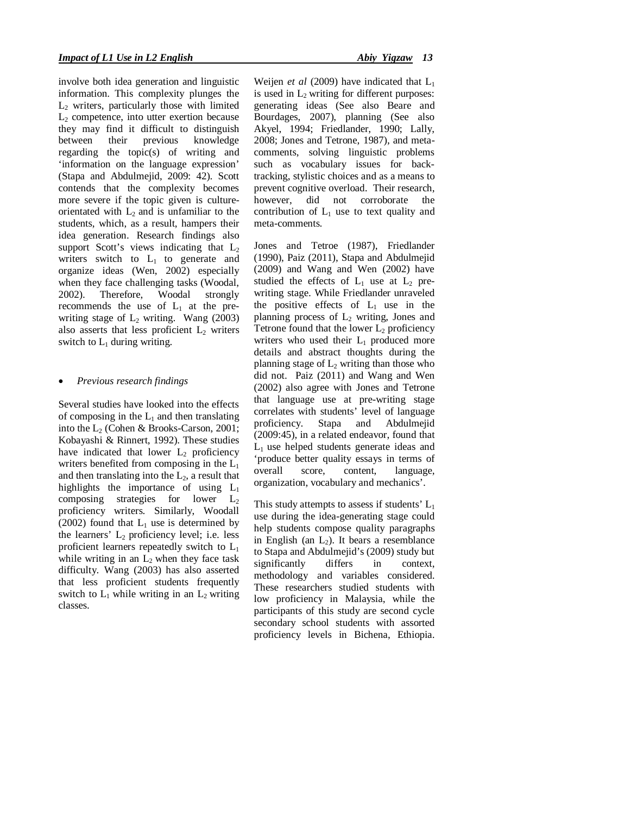involve both idea generation and linguistic information. This complexity plunges the  $L<sub>2</sub>$  writers, particularly those with limited  $L<sub>2</sub>$  competence, into utter exertion because they may find it difficult to distinguish between their previous knowledge regarding the topic(s) of writing and 'information on the language expression' (Stapa and Abdulmejid, 2009: 42). Scott contends that the complexity becomes more severe if the topic given is cultureorientated with  $L_2$  and is unfamiliar to the students, which, as a result, hampers their idea generation. Research findings also support Scott's views indicating that  $L_2$ writers switch to  $L_1$  to generate and organize ideas (Wen, 2002) especially when they face challenging tasks (Woodal, 2002). Therefore, Woodal strongly recommends the use of  $L_1$  at the prewriting stage of  $L_2$  writing. Wang (2003) also asserts that less proficient  $L_2$  writers switch to  $L_1$  during writing.

## *Previous research findings*

Several studies have looked into the effects of composing in the  $L_1$  and then translating into the  $L_2$  (Cohen & Brooks-Carson, 2001; Kobayashi & Rinnert, 1992). These studies have indicated that lower  $L_2$  proficiency writers benefited from composing in the  $L_1$ and then translating into the  $L<sub>2</sub>$ , a result that highlights the importance of using  $L_1$ composing strategies for lower  $L_2$ proficiency writers. Similarly, Woodall (2002) found that  $L_1$  use is determined by the learners'  $L_2$  proficiency level; i.e. less proficient learners repeatedly switch to L<sup>1</sup> while writing in an  $L_2$  when they face task difficulty. Wang (2003) has also asserted that less proficient students frequently switch to  $L_1$  while writing in an  $L_2$  writing classes.

Weijen *et al* (2009) have indicated that  $L_1$ is used in  $L_2$  writing for different purposes: generating ideas (See also Beare and Bourdages, 2007), planning (See also Akyel, 1994; Friedlander, 1990; Lally, 2008; Jones and Tetrone, 1987), and metacomments, solving linguistic problems such as vocabulary issues for backtracking, stylistic choices and as a means to prevent cognitive overload. Their research, however, did not corroborate the contribution of  $L_1$  use to text quality and meta-comments.

Jones and Tetroe (1987), Friedlander (1990), Paiz (2011), Stapa and Abdulmejid (2009) and Wang and Wen (2002) have studied the effects of  $L_1$  use at  $L_2$  prewriting stage. While Friedlander unraveled the positive effects of  $L_1$  use in the planning process of  $L_2$  writing, Jones and Tetrone found that the lower  $L_2$  proficiency writers who used their  $L_1$  produced more details and abstract thoughts during the planning stage of  $L_2$  writing than those who did not. Paiz (2011) and Wang and Wen (2002) also agree with Jones and Tetrone that language use at pre-writing stage correlates with students' level of language proficiency. Stapa and Abdulmejid (2009:45), in a related endeavor, found that  $L_1$  use helped students generate ideas and 'produce better quality essays in terms of overall score, content, language, organization, vocabulary and mechanics'.

This study attempts to assess if students'  $L_1$ use during the idea-generating stage could help students compose quality paragraphs in English (an  $L_2$ ). It bears a resemblance to Stapa and Abdulmejid's (2009) study but significantly differs in context, methodology and variables considered. These researchers studied students with low proficiency in Malaysia, while the participants of this study are second cycle secondary school students with assorted proficiency levels in Bichena, Ethiopia.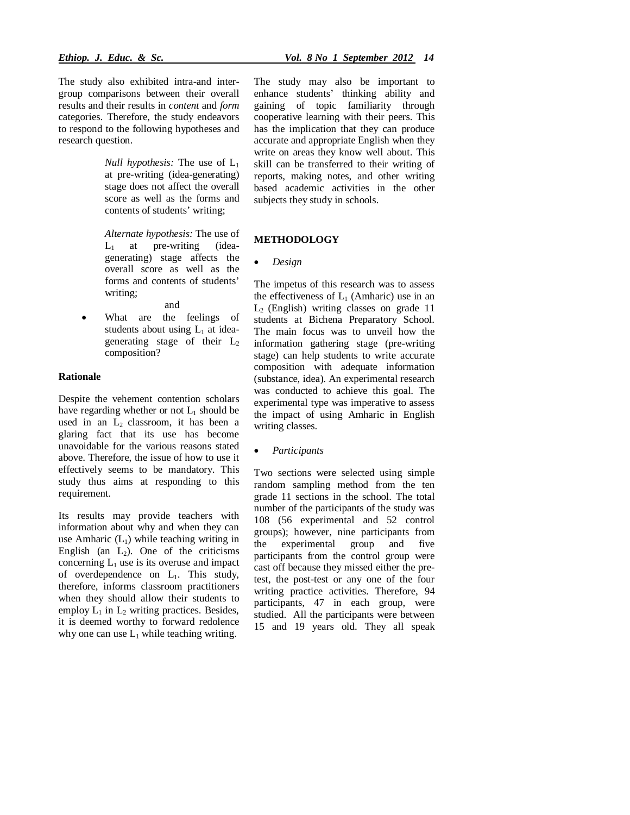The study also exhibited intra-and intergroup comparisons between their overall results and their results in *content* and *form*  categories. Therefore, the study endeavors to respond to the following hypotheses and research question.

> *Null hypothesis:* The use of L<sub>1</sub> at pre-writing (idea-generating) stage does not affect the overall score as well as the forms and contents of students' writing;

> *Alternate hypothesis:* The use of  $L_1$  at pre-writing (ideagenerating) stage affects the overall score as well as the forms and contents of students' writing; and

 What are the feelings of students about using  $L_1$  at ideagenerating stage of their  $L_2$ composition?

#### **Rationale**

Despite the vehement contention scholars have regarding whether or not  $L_1$  should be used in an  $L_2$  classroom, it has been a glaring fact that its use has become unavoidable for the various reasons stated above. Therefore, the issue of how to use it effectively seems to be mandatory. This study thus aims at responding to this requirement.

Its results may provide teachers with information about why and when they can use Amharic  $(L<sub>1</sub>)$  while teaching writing in English (an  $L_2$ ). One of the criticisms concerning  $L_1$  use is its overuse and impact of overdependence on L1. This study, therefore, informs classroom practitioners when they should allow their students to employ  $L_1$  in  $L_2$  writing practices. Besides, it is deemed worthy to forward redolence why one can use  $L_1$  while teaching writing.

The study may also be important to enhance students' thinking ability and gaining of topic familiarity through cooperative learning with their peers. This has the implication that they can produce accurate and appropriate English when they write on areas they know well about. This skill can be transferred to their writing of reports, making notes, and other writing based academic activities in the other subjects they study in schools.

#### **METHODOLOGY**

#### *Design*

The impetus of this research was to assess the effectiveness of  $L_1$  (Amharic) use in an  $L<sub>2</sub>$  (English) writing classes on grade 11 students at Bichena Preparatory School. The main focus was to unveil how the information gathering stage (pre-writing stage) can help students to write accurate composition with adequate information (substance, idea). An experimental research was conducted to achieve this goal. The experimental type was imperative to assess the impact of using Amharic in English writing classes.

*Participants*

Two sections were selected using simple random sampling method from the ten grade 11 sections in the school. The total number of the participants of the study was 108 (56 experimental and 52 control groups); however, nine participants from the experimental group and five participants from the control group were cast off because they missed either the pretest, the post-test or any one of the four writing practice activities. Therefore, 94 participants, 47 in each group, were studied. All the participants were between 15 and 19 years old. They all speak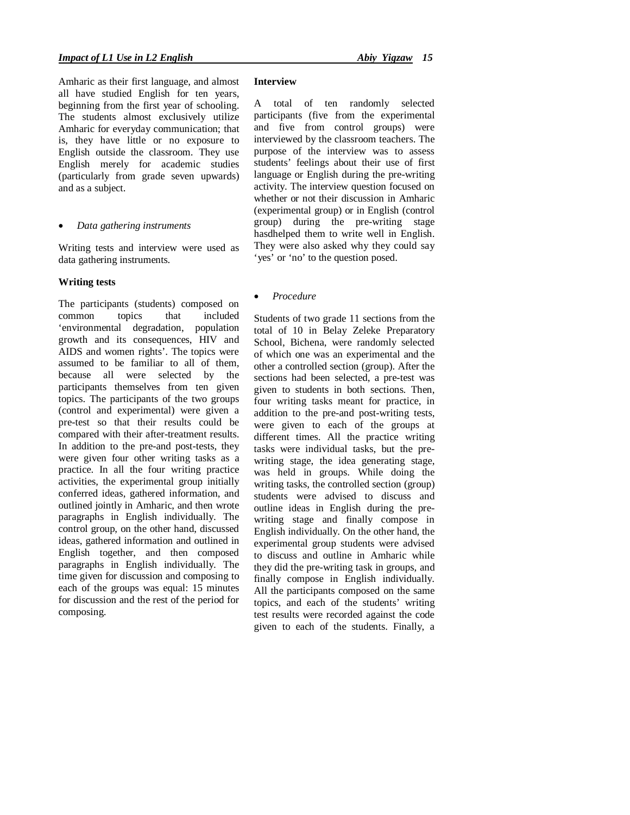Amharic as their first language, and almost all have studied English for ten years, beginning from the first year of schooling. The students almost exclusively utilize Amharic for everyday communication; that is, they have little or no exposure to English outside the classroom. They use English merely for academic studies (particularly from grade seven upwards) and as a subject.

#### *Data gathering instruments*

Writing tests and interview were used as data gathering instruments.

#### **Writing tests**

The participants (students) composed on common topics that included 'environmental degradation, population growth and its consequences, HIV and AIDS and women rights'. The topics were assumed to be familiar to all of them, because all were selected by the participants themselves from ten given topics. The participants of the two groups (control and experimental) were given a pre-test so that their results could be compared with their after-treatment results. In addition to the pre-and post-tests, they were given four other writing tasks as a practice. In all the four writing practice activities, the experimental group initially conferred ideas, gathered information, and outlined jointly in Amharic, and then wrote paragraphs in English individually. The control group, on the other hand, discussed ideas, gathered information and outlined in English together, and then composed paragraphs in English individually. The time given for discussion and composing to each of the groups was equal: 15 minutes for discussion and the rest of the period for composing.

## **Interview**

A total of ten randomly selected participants (five from the experimental and five from control groups) were interviewed by the classroom teachers. The purpose of the interview was to assess students' feelings about their use of first language or English during the pre-writing activity. The interview question focused on whether or not their discussion in Amharic (experimental group) or in English (control group) during the pre-writing stage hasdhelped them to write well in English. They were also asked why they could say 'yes' or 'no' to the question posed.

### *Procedure*

Students of two grade 11 sections from the total of 10 in Belay Zeleke Preparatory School, Bichena, were randomly selected of which one was an experimental and the other a controlled section (group). After the sections had been selected, a pre-test was given to students in both sections. Then, four writing tasks meant for practice, in addition to the pre-and post-writing tests, were given to each of the groups at different times. All the practice writing tasks were individual tasks, but the prewriting stage, the idea generating stage, was held in groups. While doing the writing tasks, the controlled section (group) students were advised to discuss and outline ideas in English during the prewriting stage and finally compose in English individually. On the other hand, the experimental group students were advised to discuss and outline in Amharic while they did the pre-writing task in groups, and finally compose in English individually. All the participants composed on the same topics, and each of the students' writing test results were recorded against the code given to each of the students. Finally, a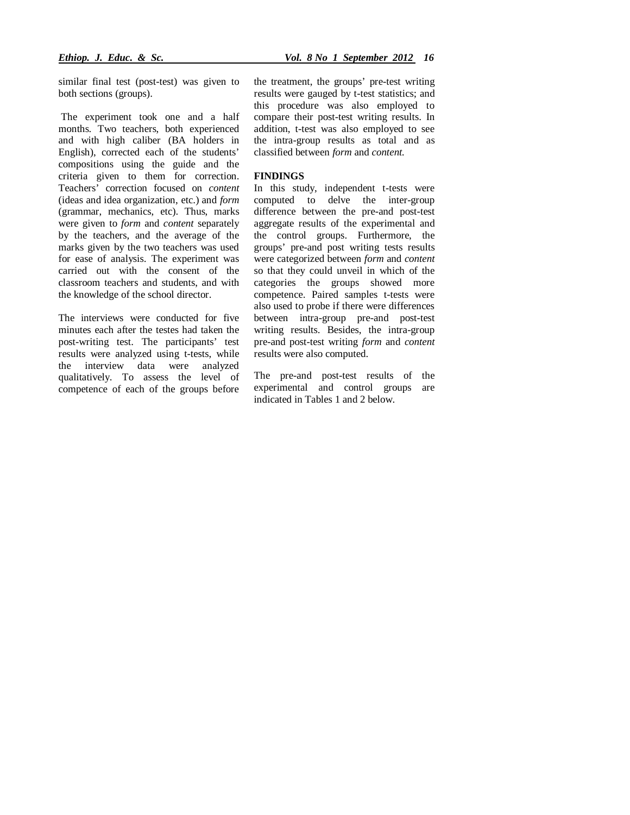similar final test (post-test) was given to both sections (groups).

The experiment took one and a half months. Two teachers, both experienced and with high caliber (BA holders in English), corrected each of the students' compositions using the guide and the criteria given to them for correction. Teachers' correction focused on *content*  (ideas and idea organization, etc.) and *form*  (grammar, mechanics, etc). Thus, marks were given to *form* and *content* separately by the teachers, and the average of the marks given by the two teachers was used for ease of analysis. The experiment was carried out with the consent of the classroom teachers and students, and with the knowledge of the school director.

The interviews were conducted for five minutes each after the testes had taken the post-writing test. The participants' test results were analyzed using t-tests, while the interview data were analyzed qualitatively. To assess the level of competence of each of the groups before

the treatment, the groups' pre-test writing results were gauged by t-test statistics; and this procedure was also employed to compare their post-test writing results. In addition, t-test was also employed to see the intra-group results as total and as classified between *form* and *content.*

#### **FINDINGS**

In this study, independent t-tests were computed to delve the inter-group difference between the pre-and post-test aggregate results of the experimental and the control groups. Furthermore, the groups' pre-and post writing tests results were categorized between *form* and *content*  so that they could unveil in which of the categories the groups showed more competence. Paired samples t-tests were also used to probe if there were differences between intra-group pre-and post-test writing results. Besides, the intra-group pre-and post-test writing *form* and *content*  results were also computed.

The pre-and post-test results of the experimental and control groups are indicated in Tables 1 and 2 below.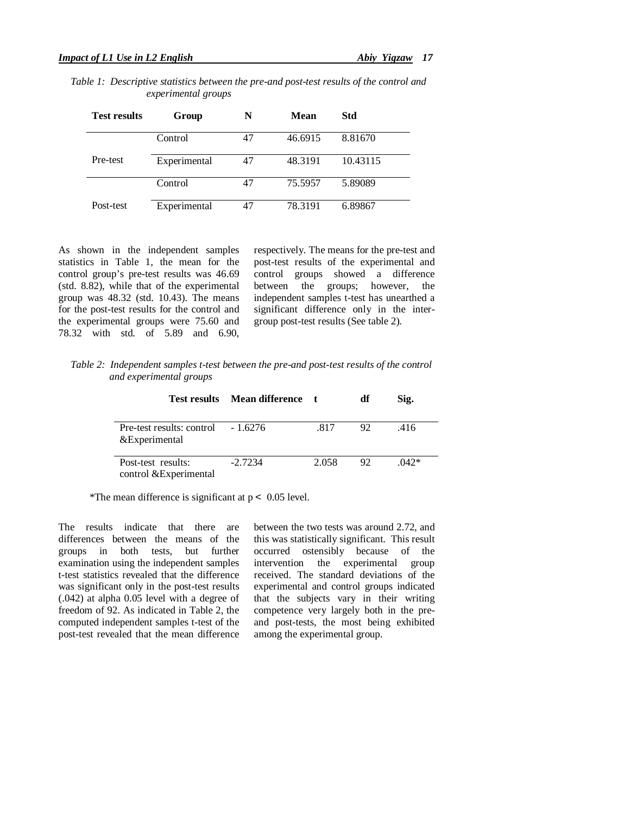*Table 1: Descriptive statistics between the pre-and post-test results of the control and experimental groups* 

| <b>Test results</b> | Group        | N  | Mean    | Std      |
|---------------------|--------------|----|---------|----------|
|                     | Control      | 47 | 46.6915 | 8.81670  |
| Pre-test            | Experimental | 47 | 48.3191 | 10.43115 |
|                     | Control      | 47 | 75.5957 | 5.89089  |
| Post-test           | Experimental | 47 | 78.3191 | 6.89867  |

As shown in the independent samples statistics in Table 1, the mean for the control group's pre-test results was 46.69 (std. 8.82), while that of the experimental group was 48.32 (std. 10.43). The means for the post-test results for the control and the experimental groups were 75.60 and 78.32 with std. of 5.89 and 6.90, respectively. The means for the pre-test and post-test results of the experimental and control groups showed a difference between the groups; however, the independent samples t-test has unearthed a significant difference only in the intergroup post-test results (See table 2).

*Table 2: Independent samples t-test between the pre-and post-test results of the control and experimental groups* 

|                    |                                     | Test results Mean difference t |       | df  | Sig.   |
|--------------------|-------------------------------------|--------------------------------|-------|-----|--------|
| &Experimental      | Pre-test results: control $-1.6276$ |                                | .817  | 92. | .416   |
| Post-test results: | control &Experimental               | $-2.7234$                      | 2.058 | 92. | $042*$ |

\*The mean difference is significant at  $p < 0.05$  level.

The results indicate that there are differences between the means of the groups in both tests, but further examination using the independent samples t-test statistics revealed that the difference was significant only in the post-test results (.042) at alpha 0.05 level with a degree of freedom of 92. As indicated in Table 2, the computed independent samples t-test of the post-test revealed that the mean difference between the two tests was around 2.72, and this was statistically significant. This result occurred ostensibly because of the intervention the experimental group received. The standard deviations of the experimental and control groups indicated that the subjects vary in their writing competence very largely both in the preand post-tests, the most being exhibited among the experimental group.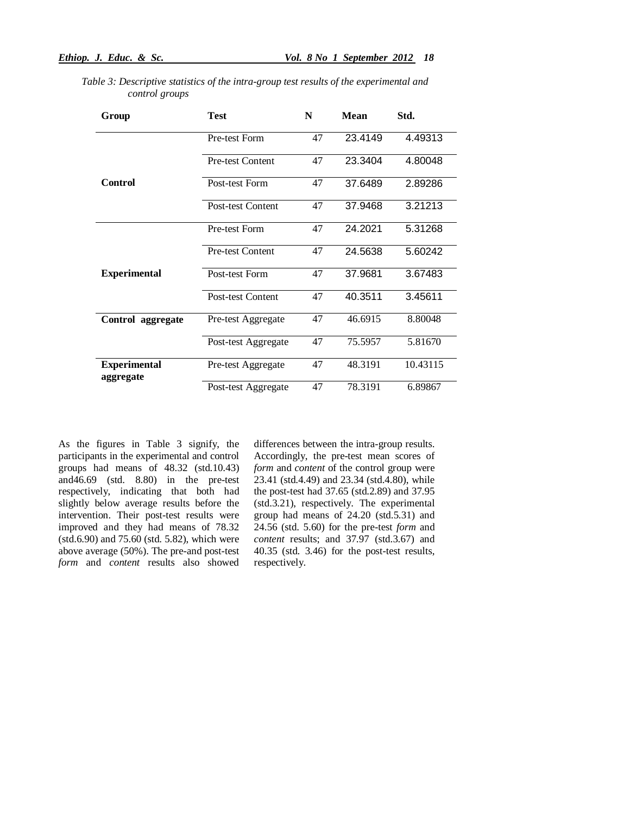| Group                            | <b>Test</b>              | N  | <b>Mean</b> | Std.     |
|----------------------------------|--------------------------|----|-------------|----------|
|                                  | Pre-test Form            | 47 | 23.4149     | 4.49313  |
|                                  | <b>Pre-test Content</b>  | 47 | 23.3404     | 4.80048  |
| <b>Control</b>                   | Post-test Form           | 47 | 37.6489     | 2.89286  |
|                                  | Post-test Content        | 47 | 37.9468     | 3.21213  |
|                                  | Pre-test Form            | 47 | 24.2021     | 5.31268  |
|                                  | Pre-test Content         | 47 | 24.5638     | 5.60242  |
| <b>Experimental</b>              | Post-test Form           | 47 | 37.9681     | 3.67483  |
|                                  | <b>Post-test Content</b> | 47 | 40.3511     | 3.45611  |
| Control aggregate                | Pre-test Aggregate       | 47 | 46.6915     | 8.80048  |
|                                  | Post-test Aggregate      | 47 | 75.5957     | 5.81670  |
| <b>Experimental</b><br>aggregate | Pre-test Aggregate       | 47 | 48.3191     | 10.43115 |
|                                  | Post-test Aggregate      | 47 | 78.3191     | 6.89867  |

*Table 3: Descriptive statistics of the intra-group test results of the experimental and control groups*

As the figures in Table 3 signify, the participants in the experimental and control groups had means of 48.32 (std.10.43) and46.69 (std. 8.80) in the pre-test respectively, indicating that both had slightly below average results before the intervention. Their post-test results were improved and they had means of 78.32 (std.6.90) and 75.60 (std. 5.82), which were above average (50%). The pre-and post-test *form* and *content* results also showed

differences between the intra-group results. Accordingly, the pre-test mean scores of *form* and *content* of the control group were 23.41 (std.4.49) and 23.34 (std.4.80), while the post-test had 37.65 (std.2.89) and 37.95 (std.3.21), respectively. The experimental group had means of 24.20 (std.5.31) and 24.56 (std. 5.60) for the pre-test *form* and *content* results; and 37.97 (std.3.67) and 40.35 (std. 3.46) for the post-test results, respectively.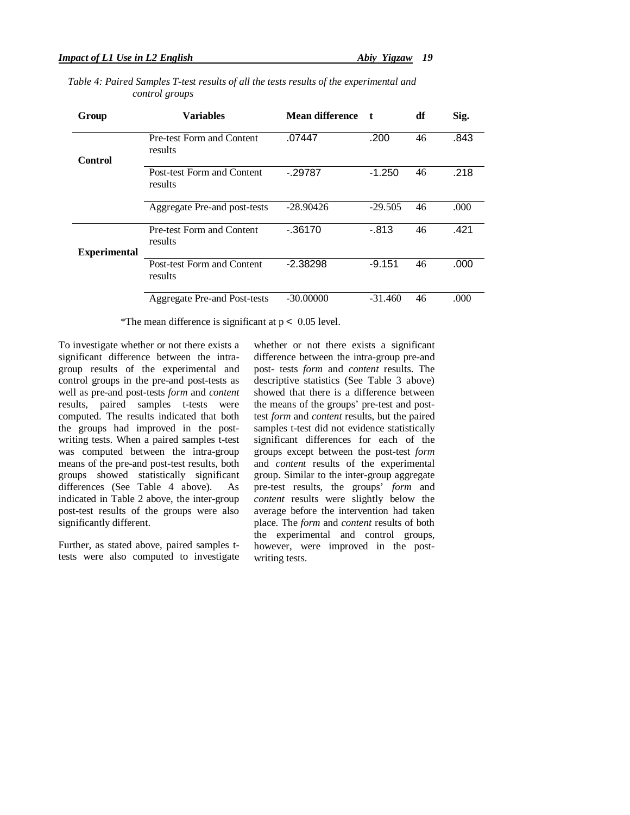| Group               | <b>Variables</b>                      | <b>Mean difference</b> |           | df | Sig. |
|---------------------|---------------------------------------|------------------------|-----------|----|------|
| Control             | Pre-test Form and Content<br>results  | .07447                 | .200      | 46 | .843 |
|                     | Post-test Form and Content<br>results | $-29787$               | $-1.250$  | 46 | .218 |
|                     | Aggregate Pre-and post-tests          | $-28.90426$            | $-29.505$ | 46 | .000 |
| <b>Experimental</b> | Pre-test Form and Content<br>results  | $-0.36170$             | $-.813$   | 46 | .421 |
|                     | Post-test Form and Content<br>results | $-2.38298$             | $-9.151$  | 46 | .000 |
|                     | Aggregate Pre-and Post-tests          | $-30.00000$            | $-31.460$ | 46 | .000 |

## *Table 4: Paired Samples T-test results of all the tests results of the experimental and control groups*

\*The mean difference is significant at  $p < 0.05$  level.

To investigate whether or not there exists a significant difference between the intragroup results of the experimental and control groups in the pre-and post-tests as well as pre-and post-tests *form* and *content*  results, paired samples t-tests were computed. The results indicated that both the groups had improved in the postwriting tests. When a paired samples t-test was computed between the intra-group means of the pre-and post-test results, both groups showed statistically significant differences (See Table 4 above). As indicated in Table 2 above, the inter-group post-test results of the groups were also significantly different.

Further, as stated above, paired samples ttests were also computed to investigate whether or not there exists a significant difference between the intra-group pre-and post- tests *form* and *content* results. The descriptive statistics (See Table 3 above) showed that there is a difference between the means of the groups' pre-test and posttest *form* and *content* results, but the paired samples t-test did not evidence statistically significant differences for each of the groups except between the post-test *form*  and *content* results of the experimental group. Similar to the inter-group aggregate pre-test results, the groups' *form* and *content* results were slightly below the average before the intervention had taken place. The *form* and *content* results of both the experimental and control groups, however, were improved in the postwriting tests.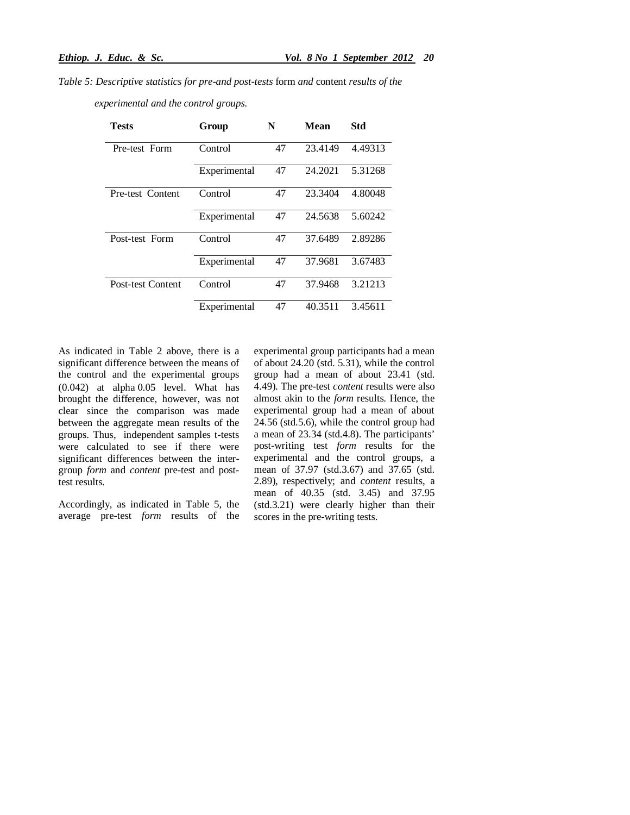*Table 5: Descriptive statistics for pre-and post-tests* form *and* content *results of the* 

 *experimental and the control groups.*

| <b>Tests</b>             | Group        | N  | Mean    | Std     |
|--------------------------|--------------|----|---------|---------|
| Pre-test Form            | Control      | 47 | 23.4149 | 4.49313 |
|                          | Experimental | 47 | 24.2021 | 5.31268 |
| Pre-test Content         | Control      | 47 | 23.3404 | 4.80048 |
|                          | Experimental | 47 | 24.5638 | 5.60242 |
| Post-test Form           | Control      | 47 | 37.6489 | 2.89286 |
|                          | Experimental | 47 | 37.9681 | 3.67483 |
| <b>Post-test Content</b> | Control      | 47 | 37.9468 | 3.21213 |
|                          | Experimental | 47 | 40.3511 | 3.45611 |

As indicated in Table 2 above, there is a significant difference between the means of the control and the experimental groups  $(0.042)$  at alpha $0.05$  level. What has brought the difference, however, was not clear since the comparison was made between the aggregate mean results of the groups. Thus, independent samples t-tests were calculated to see if there were significant differences between the intergroup *form* and *content* pre-test and posttest results.

Accordingly, as indicated in Table 5, the average pre-test *form* results of the experimental group participants had a mean of about 24.20 (std. 5.31), while the control group had a mean of about 23.41 (std. 4.49). The pre-test *content* results were also almost akin to the *form* results. Hence, the experimental group had a mean of about 24.56 (std.5.6), while the control group had a mean of 23.34 (std.4.8). The participants' post-writing test *form* results for the experimental and the control groups, a mean of 37.97 (std.3.67) and 37.65 (std. 2.89), respectively; and *content* results, a mean of 40.35 (std. 3.45) and 37.95 (std.3.21) were clearly higher than their scores in the pre-writing tests.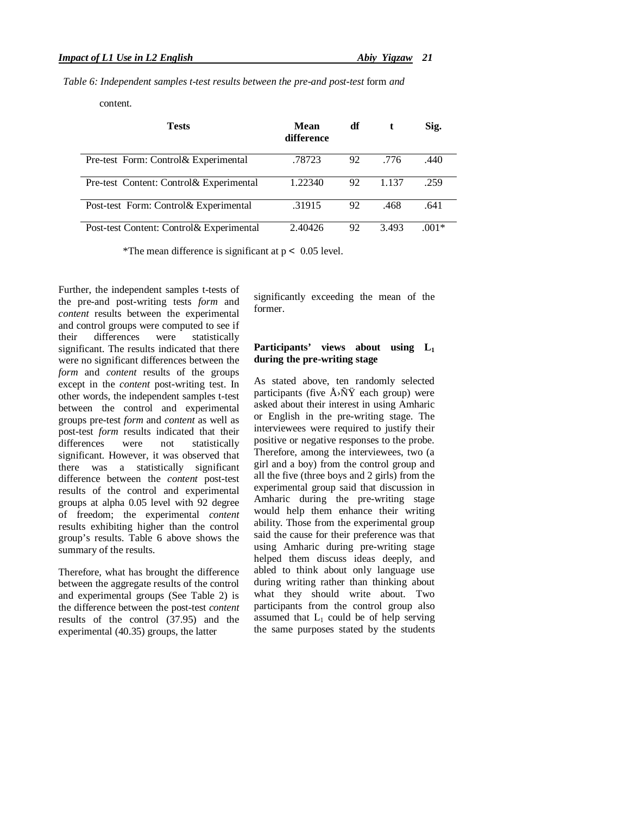*Table 6: Independent samples t-test results between the pre-and post-test* form *and*

content*.*

| Tests                                    | Mean<br>difference | df |       | Sig.    |
|------------------------------------------|--------------------|----|-------|---------|
| Pre-test Form: Control & Experimental    | .78723             | 92 | .776  | .440    |
| Pre-test Content: Control& Experimental  | 1.22340            | 92 | 1.137 | .259    |
| Post-test Form: Control & Experimental   | .31915             | 92 | .468  | .641    |
| Post-test Content: Control& Experimental | 2.40426            | 92 | 3.493 | $.001*$ |

\*The mean difference is significant at  $p < 0.05$  level.

Further, the independent samples t-tests of the pre-and post-writing tests *form* and *content* results between the experimental and control groups were computed to see if their differences were statistically significant. The results indicated that there were no significant differences between the *form* and *content* results of the groups except in the *content* post-writing test. In other words, the independent samples t-test between the control and experimental groups pre-test *form* and *content* as well as post-test *form* results indicated that their<br>differences were not statistically were not statistically significant. However, it was observed that there was a statistically significant difference between the *content* post-test results of the control and experimental groups at alpha 0.05 level with 92 degree of freedom; the experimental *content* results exhibiting higher than the control group's results. Table 6 above shows the summary of the results.

Therefore, what has brought the difference between the aggregate results of the control and experimental groups (See Table 2) is the difference between the post-test *content* results of the control (37.95) and the experimental (40.35) groups, the latter

significantly exceeding the mean of the former.

## **Participants' views about using L<sup>1</sup> during the pre-writing stage**

As stated above, ten randomly selected participants (five  $\AA$ > $\tilde{N}\tilde{Y}$  each group) were asked about their interest in using Amharic or English in the pre-writing stage. The interviewees were required to justify their positive or negative responses to the probe. Therefore, among the interviewees, two (a girl and a boy) from the control group and all the five (three boys and 2 girls) from the experimental group said that discussion in Amharic during the pre-writing stage would help them enhance their writing ability. Those from the experimental group said the cause for their preference was that using Amharic during pre-writing stage helped them discuss ideas deeply, and abled to think about only language use during writing rather than thinking about what they should write about. Two participants from the control group also assumed that  $L_1$  could be of help serving the same purposes stated by the students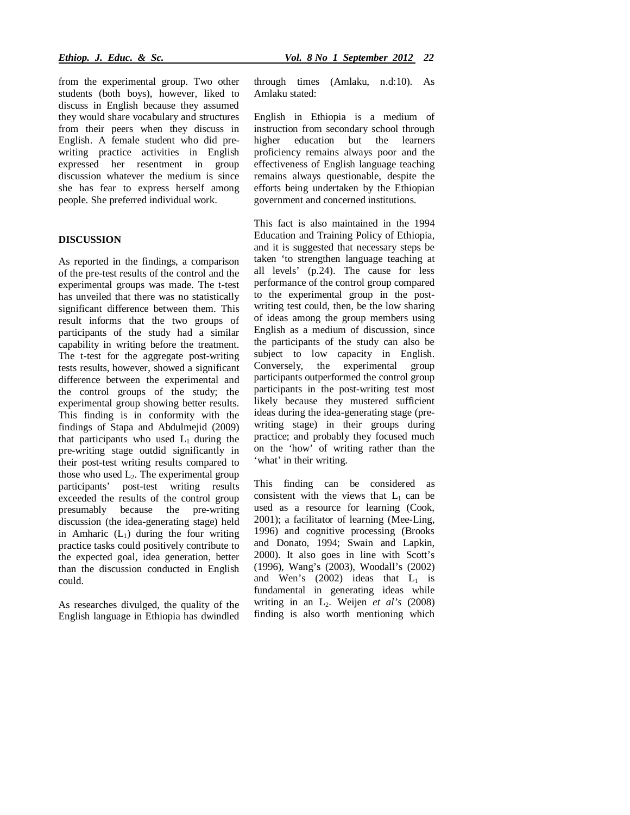from the experimental group. Two other students (both boys), however, liked to discuss in English because they assumed they would share vocabulary and structures from their peers when they discuss in English. A female student who did prewriting practice activities in English expressed her resentment in group discussion whatever the medium is since she has fear to express herself among people. She preferred individual work.

## **DISCUSSION**

As reported in the findings, a comparison of the pre-test results of the control and the experimental groups was made. The t-test has unveiled that there was no statistically significant difference between them. This result informs that the two groups of participants of the study had a similar capability in writing before the treatment. The t-test for the aggregate post-writing tests results, however, showed a significant difference between the experimental and the control groups of the study; the experimental group showing better results. This finding is in conformity with the findings of Stapa and Abdulmejid (2009) that participants who used  $L_1$  during the pre-writing stage outdid significantly in their post-test writing results compared to those who used  $L_2$ . The experimental group participants' post-test writing results exceeded the results of the control group presumably because the pre-writing discussion (the idea-generating stage) held in Amharic  $(L_1)$  during the four writing practice tasks could positively contribute to the expected goal, idea generation, better than the discussion conducted in English could.

As researches divulged, the quality of the English language in Ethiopia has dwindled

through times (Amlaku, n.d:10). As Amlaku stated:

English in Ethiopia is a medium of instruction from secondary school through higher education but the learners proficiency remains always poor and the effectiveness of English language teaching remains always questionable, despite the efforts being undertaken by the Ethiopian government and concerned institutions.

This fact is also maintained in the 1994 Education and Training Policy of Ethiopia, and it is suggested that necessary steps be taken 'to strengthen language teaching at all levels' (p.24). The cause for less performance of the control group compared to the experimental group in the postwriting test could, then, be the low sharing of ideas among the group members using English as a medium of discussion, since the participants of the study can also be subject to low capacity in English. Conversely, the experimental group participants outperformed the control group participants in the post-writing test most likely because they mustered sufficient ideas during the idea-generating stage (prewriting stage) in their groups during practice; and probably they focused much on the 'how' of writing rather than the 'what' in their writing.

This finding can be considered as consistent with the views that  $L_1$  can be used as a resource for learning (Cook, 2001); a facilitator of learning (Mee-Ling, 1996) and cognitive processing (Brooks and Donato, 1994; Swain and Lapkin, 2000). It also goes in line with Scott's (1996), Wang's (2003), Woodall's (2002) and Wen's  $(2002)$  ideas that  $L_1$  is fundamental in generating ideas while writing in an L2. Weijen *et al's* (2008) finding is also worth mentioning which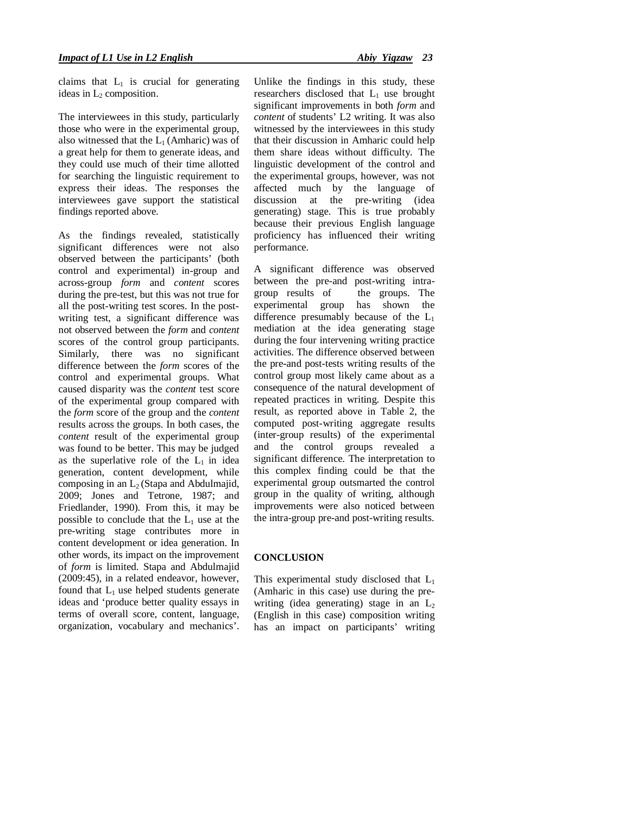claims that  $L_1$  is crucial for generating ideas in  $L_2$  composition.

The interviewees in this study, particularly those who were in the experimental group, also witnessed that the  $L_1$  (Amharic) was of a great help for them to generate ideas, and they could use much of their time allotted for searching the linguistic requirement to express their ideas. The responses the interviewees gave support the statistical findings reported above.

As the findings revealed, statistically significant differences were not also observed between the participants' (both control and experimental) in-group and across-group *form* and *content* scores during the pre-test, but this was not true for all the post-writing test scores. In the postwriting test, a significant difference was not observed between the *form* and *content*  scores of the control group participants. Similarly, there was no significant difference between the *form* scores of the control and experimental groups. What caused disparity was the *content* test score of the experimental group compared with the *form* score of the group and the *content*  results across the groups. In both cases, the *content* result of the experimental group was found to be better. This may be judged as the superlative role of the  $L_1$  in idea generation, content development, while composing in an  $L_2$  (Stapa and Abdulmajid, 2009; Jones and Tetrone, 1987; and Friedlander, 1990). From this, it may be possible to conclude that the  $L_1$  use at the pre-writing stage contributes more in content development or idea generation. In other words, its impact on the improvement of *form* is limited. Stapa and Abdulmajid (2009:45), in a related endeavor, however, found that  $L_1$  use helped students generate ideas and 'produce better quality essays in terms of overall score, content, language, organization, vocabulary and mechanics'.

Unlike the findings in this study, these researchers disclosed that  $L_1$  use brought significant improvements in both *form* and *content* of students' L2 writing. It was also witnessed by the interviewees in this study that their discussion in Amharic could help them share ideas without difficulty. The linguistic development of the control and the experimental groups, however, was not affected much by the language of discussion at the pre-writing (idea generating) stage. This is true probably because their previous English language proficiency has influenced their writing performance.

A significant difference was observed between the pre-and post-writing intragroup results of the groups. The experimental group has shown the difference presumably because of the  $L_1$ mediation at the idea generating stage during the four intervening writing practice activities. The difference observed between the pre-and post-tests writing results of the control group most likely came about as a consequence of the natural development of repeated practices in writing. Despite this result, as reported above in Table 2, the computed post-writing aggregate results (inter-group results) of the experimental and the control groups revealed a significant difference. The interpretation to this complex finding could be that the experimental group outsmarted the control group in the quality of writing, although improvements were also noticed between the intra-group pre-and post-writing results.

## **CONCLUSION**

This experimental study disclosed that  $L_1$ (Amharic in this case) use during the prewriting (idea generating) stage in an  $L_2$ (English in this case) composition writing has an impact on participants' writing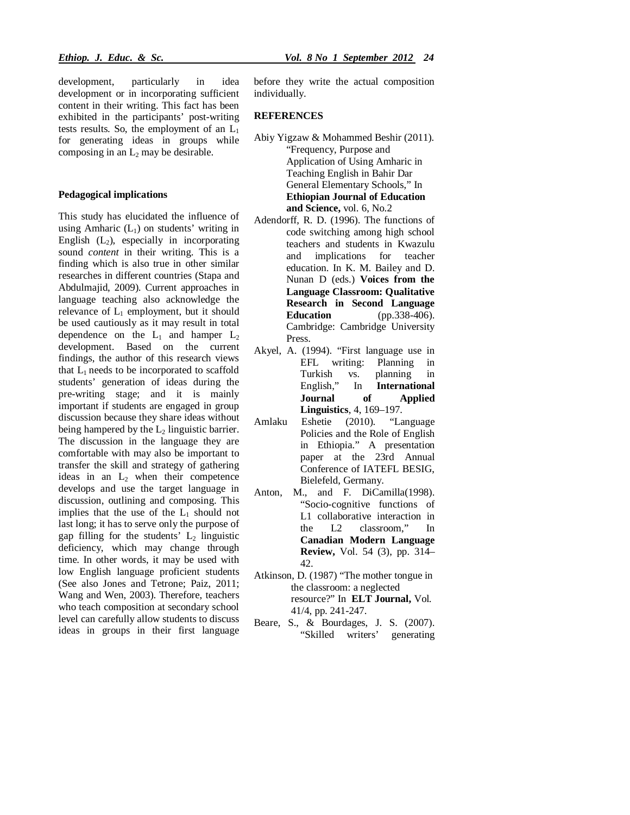development, particularly in idea development or in incorporating sufficient content in their writing. This fact has been exhibited in the participants' post-writing tests results. So, the employment of an  $L_1$ for generating ideas in groups while composing in an  $L_2$  may be desirable.

#### **Pedagogical implications**

This study has elucidated the influence of using Amharic  $(L<sub>1</sub>)$  on students' writing in English  $(L_2)$ , especially in incorporating sound *content* in their writing. This is a finding which is also true in other similar researches in different countries (Stapa and Abdulmajid, 2009). Current approaches in language teaching also acknowledge the relevance of  $L_1$  employment, but it should be used cautiously as it may result in total dependence on the  $L_1$  and hamper  $L_2$ development. Based on the current findings, the author of this research views that  $L_1$  needs to be incorporated to scaffold students' generation of ideas during the pre-writing stage; and it is mainly important if students are engaged in group discussion because they share ideas without being hampered by the  $L_2$  linguistic barrier. The discussion in the language they are comfortable with may also be important to transfer the skill and strategy of gathering ideas in an  $L_2$  when their competence develops and use the target language in discussion, outlining and composing. This implies that the use of the  $L_1$  should not last long; it has to serve only the purpose of gap filling for the students'  $L_2$  linguistic deficiency, which may change through time. In other words, it may be used with low English language proficient students (See also Jones and Tetrone; Paiz, 2011; Wang and Wen, 2003). Therefore, teachers who teach composition at secondary school level can carefully allow students to discuss ideas in groups in their first language before they write the actual composition individually.

#### **REFERENCES**

- Abiy Yigzaw & Mohammed Beshir (2011). "Frequency, Purpose and Application of Using Amharic in Teaching English in Bahir Dar General Elementary Schools," In **Ethiopian Journal of Education and Science,** vol. 6, No.2
- Adendorff, R. D. (1996). The functions of code switching among high school teachers and students in Kwazulu and implications for teacher education. In K. M. Bailey and D. Nunan D (eds.) **Voices from the Language Classroom: Qualitative Research in Second Language Education** (pp.338-406). Cambridge: Cambridge University Press.
- Akyel, A. (1994). "First language use in EFL writing: Planning in Turkish vs. planning in English," In **International Journal of Applied Linguistics**, 4, 169–197.
- Amlaku Eshetie (2010). "Language Policies and the Role of English in Ethiopia." A presentation paper at the 23rd Annual Conference of IATEFL BESIG, Bielefeld, Germany.
- Anton, M., and F. DiCamilla(1998). "Socio-cognitive functions of L1 collaborative interaction in the L2 classroom," In **Canadian Modern Language Review,** Vol. 54 (3), pp. 314– 42.
- Atkinson, D. (1987) "The mother tongue in the classroom: a neglected resource?" In **ELT Journal,** Vol*.*  41/4, pp. 241-247.
- Beare, S., & Bourdages, J. S. (2007). "Skilled writers' generating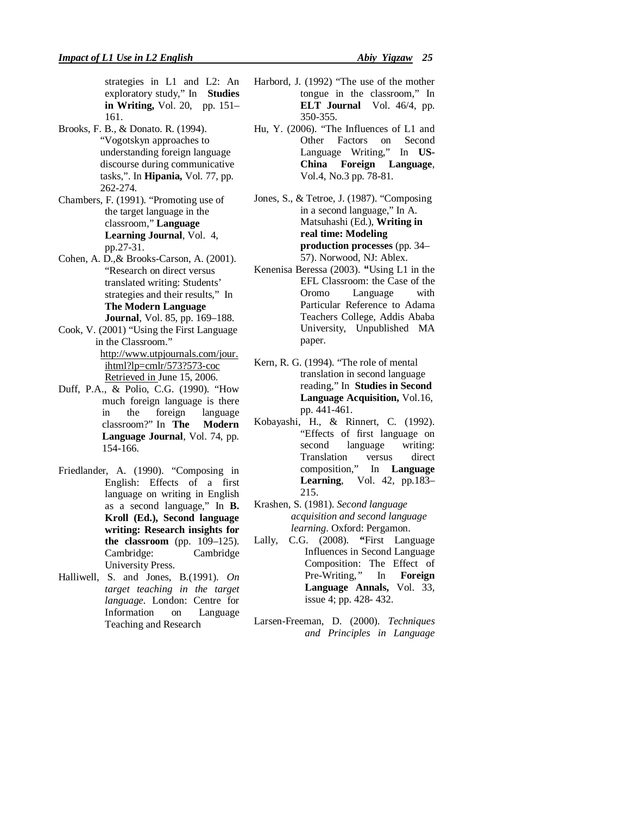strategies in L1 and L2: An exploratory study," In **Studies in Writing,** Vol. 20, pp. 151– 161.

- Brooks, F. B., & Donato. R. (1994). "Vogotskyn approaches to understanding foreign language discourse during communicative tasks,". In **Hipania,** Vol. 77, pp. 262-274.
- Chambers, F. (1991). "Promoting use of the target language in the classroom," **Language Learning Journal**, Vol. 4, pp.27-31.
- Cohen, A. D.,& Brooks-Carson, A. (2001). "Research on direct versus translated writing: Students' strategies and their results," In **The Modern Language Journal**, Vol. 85, pp. 169–188.
- Cook, V. (2001) "Using the First Language in the Classroom." http://www.utpjournals.com/jour. ihtml?lp=cmlr/573?573-coc
- Retrieved in June 15, 2006. Duff, P.A., & Polio, C.G. (1990). "How much foreign language is there<br>in the foreign language in the foreign language classroom?" In **The Modern Language Journal**, Vol. 74, pp.

154-166.

- Friedlander, A. (1990). "Composing in English: Effects of a first language on writing in English as a second language," In **B. Kroll (Ed.), Second language writing: Research insights for the classroom** (pp. 109–125). Cambridge: Cambridge University Press.
- Halliwell, S. and Jones, B.(1991). *On target teaching in the target language*. London: Centre for Information on Language Teaching and Research
- Harbord, J. (1992) "The use of the mother tongue in the classroom," In **ELT Journal**Vol. 46/4, pp. 350-355.
- Hu, Y. (2006). "The Influences of L1 and Other Factors on Second Language Writing," In **US-China Foreign Language**, Vol.4, No.3 pp. 78-81.
- Jones, S., & Tetroe, J. (1987). "Composing in a second language," In A. Matsuhashi (Ed.), **Writing in real time: Modeling production processes** (pp. 34– 57). Norwood, NJ: Ablex.
- Kenenisa Beressa (2003). **"**Using L1 in the EFL Classroom: the Case of the Oromo Language with Particular Reference to Adama Teachers College*,* Addis Ababa University, Unpublished MA paper.
- Kern, R. G. (1994). "The role of mental translation in second language reading," In **Studies in Second Language Acquisition,** Vol.16, pp. 441-461.
- Kobayashi, H., & Rinnert, C. (1992). "Effects of first language on second language writing: Translation versus direct composition," In **Language Learning**, Vol. 42, pp.183– 215.
- Krashen, S. (1981). *Second language acquisition and second language learning*. Oxford: Pergamon.
- Lally, C.G. (2008). **"**First Language Influences in Second Language Composition: The Effect of Pre-Writing,*"* In **Foreign Language Annals,** Vol. 33, issue 4; pp. 428- 432.
- Larsen-Freeman, D. (2000). *Techniques and Principles in Language*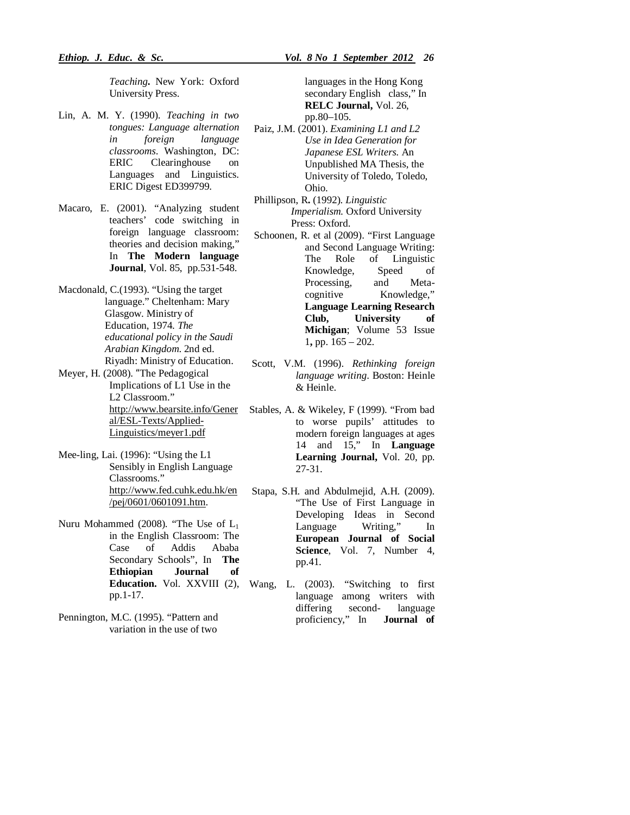*Teaching***.** New York: Oxford University Press.

- Lin, A. M. Y. (1990). *Teaching in two tongues: Language alternation in foreign language classrooms*. Washington, DC: ERIC Clearinghouse on Languages and Linguistics. ERIC Digest ED399799.
- Macaro, E. (2001). "Analyzing student teachers' code switching in foreign language classroom: theories and decision making," In **The Modern language Journal**, Vol. 85, pp.531-548.
- Macdonald, C.(1993). "Using the target language." Cheltenham: Mary Glasgow. Ministry of Education, 1974. *The educational policy in the Saudi Arabian Kingdom*. 2nd ed. Riyadh: Ministry of Education.
- Meyer, H. (2008). "The Pedagogical Implications of L1 Use in the L2 Classroom." http://www.bearsite.info/Gener al/ESL-Texts/Applied-Linguistics/meyer1.pdf
- Mee-ling, Lai. (1996): "Using the L1 Sensibly in English Language Classrooms." http://www.fed.cuhk.edu.hk/en /pej/0601/0601091.htm.
- Nuru Mohammed (2008). "The Use of  $L_1$ in the English Classroom: The Case of Addis Ababa Secondary Schools", In **The Ethiopian Journal of**  pp.1-17.
- Pennington, M.C. (1995). "Pattern and variation in the use of two

languages in the Hong Kong secondary English class," In **RELC Journal,** Vol. 26, pp.80–105.

- Paiz, J.M. (2001). *Examining L1 and L2 Use in Idea Generation for Japanese ESL Writers.* An Unpublished MA Thesis, the University of Toledo, Toledo, Ohio.
- Phillipson, R**.** (1992). *Linguistic Imperialism.* Oxford University Press: Oxford.
- Schoonen, R. et al (2009). "First Language and Second Language Writing: The Role of Linguistic Knowledge, Speed of Processing, and Metacognitive Knowledge," **Language Learning Research Club, University of Michigan**; Volume 53 Issue 1**,** pp. 165 – 202.
- Scott, V.M. (1996). *Rethinking foreign language writing*. Boston: Heinle & Heinle.
- Stables, A. & Wikeley, F (1999). "From bad to worse pupils' attitudes to modern foreign languages at ages 14 and 15," In **Language Learning Journal,** Vol. 20, pp. 27-31.
- Stapa, S.H. and Abdulmejid, A.H. (2009). "The Use of First Language in Developing Ideas in Second Language Writing," In **European Journal of Social Science**, Vol. 7, Number 4, pp.41.
- **Education.** Vol. XXVIII (2), Wang, L. (2003). "Switching to first language among writers with differing second- language proficiency," In **Journal of**